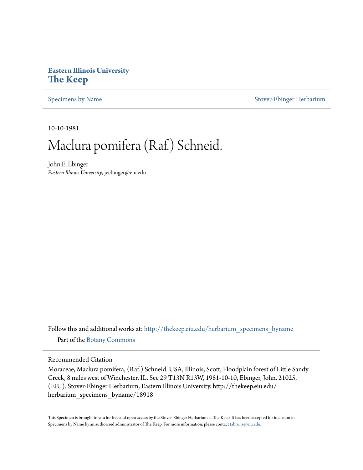## **Eastern Illinois University [The Keep](http://thekeep.eiu.edu?utm_source=thekeep.eiu.edu%2Fherbarium_specimens_byname%2F18918&utm_medium=PDF&utm_campaign=PDFCoverPages)**

[Specimens by Name](http://thekeep.eiu.edu/herbarium_specimens_byname?utm_source=thekeep.eiu.edu%2Fherbarium_specimens_byname%2F18918&utm_medium=PDF&utm_campaign=PDFCoverPages) [Stover-Ebinger Herbarium](http://thekeep.eiu.edu/herbarium?utm_source=thekeep.eiu.edu%2Fherbarium_specimens_byname%2F18918&utm_medium=PDF&utm_campaign=PDFCoverPages)

10-10-1981

## Maclura pomifera (Raf.) Schneid.

John E. Ebinger *Eastern Illinois University*, jeebinger@eiu.edu

Follow this and additional works at: [http://thekeep.eiu.edu/herbarium\\_specimens\\_byname](http://thekeep.eiu.edu/herbarium_specimens_byname?utm_source=thekeep.eiu.edu%2Fherbarium_specimens_byname%2F18918&utm_medium=PDF&utm_campaign=PDFCoverPages) Part of the [Botany Commons](http://network.bepress.com/hgg/discipline/104?utm_source=thekeep.eiu.edu%2Fherbarium_specimens_byname%2F18918&utm_medium=PDF&utm_campaign=PDFCoverPages)

Recommended Citation

Moraceae, Maclura pomifera, (Raf.) Schneid. USA, Illinois, Scott, Floodplain forest of Little Sandy Creek, 8 miles west of Winchester, IL. Sec 29 T13N R13W, 1981-10-10, Ebinger, John, 21025, (EIU). Stover-Ebinger Herbarium, Eastern Illinois University. http://thekeep.eiu.edu/ herbarium\_specimens\_byname/18918

This Specimen is brought to you for free and open access by the Stover-Ebinger Herbarium at The Keep. It has been accepted for inclusion in Specimens by Name by an authorized administrator of The Keep. For more information, please contact [tabruns@eiu.edu](mailto:tabruns@eiu.edu).